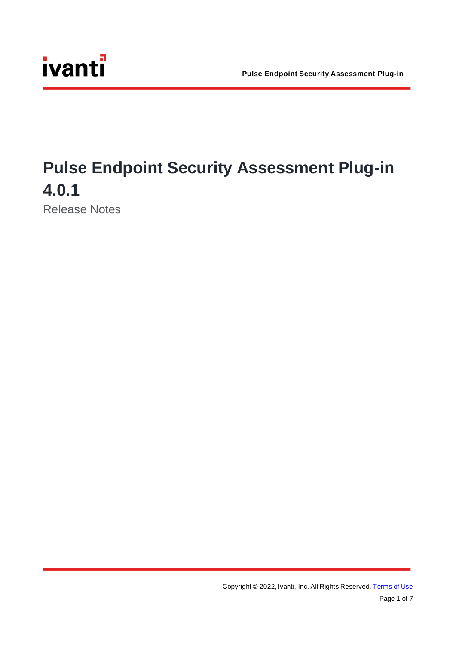## **Pulse Endpoint Security Assessment Plug-in 4.0.1**

Release Notes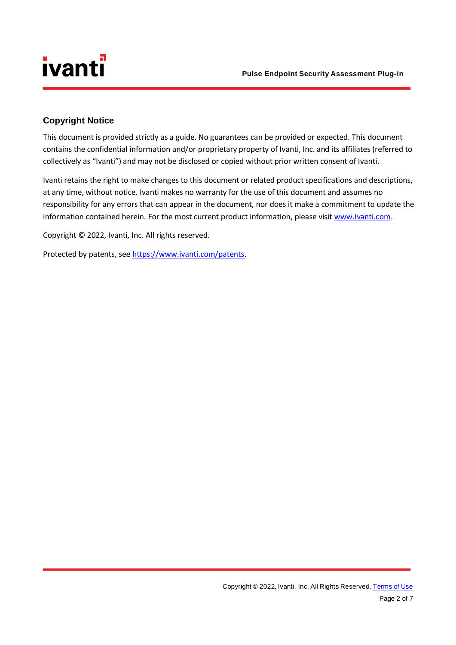#### <span id="page-1-0"></span>**Copyright Notice**

This document is provided strictly as a guide. No guarantees can be provided or expected. This document contains the confidential information and/or proprietary property of Ivanti, Inc. and its affiliates (referred to collectively as "Ivanti") and may not be disclosed or copied without prior written consent of Ivanti.

Ivanti retains the right to make changes to this document or related product specifications and descriptions, at any time, without notice. Ivanti makes no warranty for the use of this document and assumes no responsibility for any errors that can appear in the document, nor does it make a commitment to update the information contained herein. For the most current product information, please visit [www.Ivanti.com.](http://www.ivanti.com/)

Copyright © 2022, Ivanti, Inc. All rights reserved.

Protected by patents, se[e https://www.ivanti.com/patents.](https://www.ivanti.com/patents)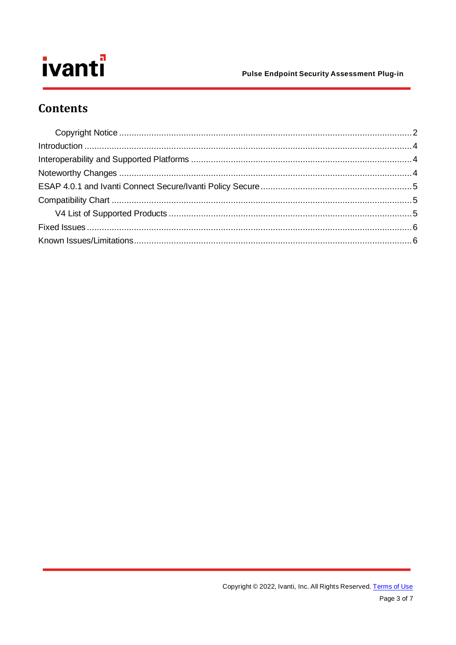#### **Pulse Endpoint Security Assessment Plug-in**

### **Contents**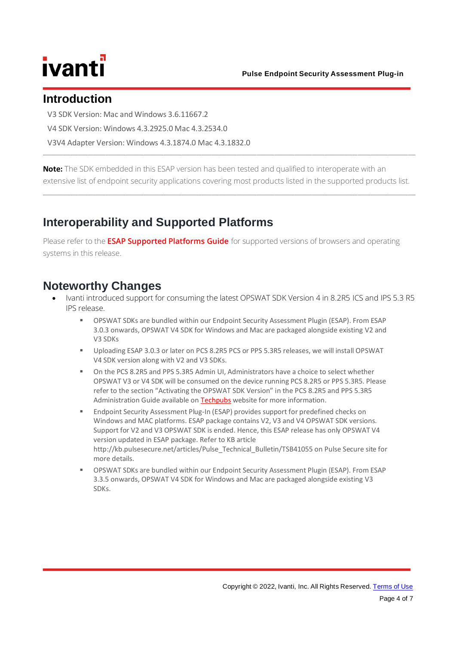### <span id="page-3-0"></span>**Introduction**

V3 SDK Version: Mac and Windows 3.6.11667.2

V4 SDK Version: Windows 4.3.2925.0 Mac 4.3.2534.0

V3V4 Adapter Version: Windows 4.3.1874.0 Mac 4.3.1832.0

**Note:** The SDK embedded in this ESAP version has been tested and qualified to interoperate with an extensive list of endpoint security applications covering most products listed in the supported products list.

<span id="page-3-1"></span>\_\_\_\_\_\_\_\_\_\_\_\_\_\_\_\_\_\_\_\_\_\_\_\_\_\_\_\_\_\_\_\_\_\_\_\_\_\_\_\_\_\_\_\_\_\_\_\_\_\_\_\_\_\_\_\_\_\_\_\_\_\_\_\_\_\_\_\_\_\_\_\_\_\_\_\_\_\_\_\_\_\_\_\_\_\_\_\_\_\_\_\_\_\_\_\_\_\_\_\_\_\_\_\_\_\_\_\_\_\_\_\_\_\_\_\_\_\_\_\_\_\_\_\_\_\_\_\_\_\_\_\_\_\_\_\_\_\_\_\_\_\_\_\_\_\_\_\_

\_\_\_\_\_\_\_\_\_\_\_\_\_\_\_\_\_\_\_\_\_\_\_\_\_\_\_\_\_\_\_\_\_\_\_\_\_\_\_\_\_\_\_\_\_\_\_\_\_\_\_\_\_\_\_\_\_\_\_\_\_\_\_\_\_\_\_\_\_\_\_\_\_\_\_\_\_\_\_\_\_\_\_\_\_\_\_\_\_\_\_\_\_\_\_\_\_\_\_\_\_\_\_\_\_\_\_\_\_\_\_\_\_\_\_\_\_\_\_\_\_\_\_\_\_\_\_\_\_\_\_\_\_\_\_\_\_\_\_\_\_\_\_\_\_\_\_\_

### **Interoperability and Supported Platforms**

Please refer to the **[ESAP Supported Platforms Guide](https://www.ivanti.com/support/product-documentation)** for supported versions of browsers and operating systems in this release.

### <span id="page-3-2"></span>**Noteworthy Changes**

- Ivanti introduced support for consuming the latest OPSWAT SDK Version 4 in 8.2R5 ICS and IPS 5.3 R5 IPS release.
	- OPSWAT SDKs are bundled within our Endpoint Security Assessment Plugin (ESAP). From ESAP 3.0.3 onwards, OPSWAT V4 SDK for Windows and Mac are packaged alongside existing V2 and V3 SDKs
	- Uploading ESAP 3.0.3 or later on PCS 8.2R5 PCS or PPS 5.3R5 releases, we will install OPSWAT V4 SDK version along with V2 and V3 SDKs.
	- On the PCS 8.2R5 and PPS 5.3R5 Admin UI, Administrators have a choice to select whether OPSWAT V3 or V4 SDK will be consumed on the device running PCS 8.2R5 or PPS 5.3R5. Please refer to the section "Activating the OPSWAT SDK Version" in the PCS 8.2R5 and PPS 5.3R5 Administration Guide available on [Techpubs](https://www.ivanti.com/support/product-documentation) website for more information.
	- Endpoint Security Assessment Plug-In (ESAP) provides support for predefined checks on Windows and MAC platforms. ESAP package contains V2, V3 and V4 OPSWAT SDK versions. Support for V2 and V3 OPSWAT SDK is ended. Hence, this ESAP release has only OPSWAT V4 version updated in ESAP package. Refer to KB article http://kb.pulsesecure.net/articles/Pulse\_Technical\_Bulletin/TSB41055 on Pulse Secure site for more details.
	- OPSWAT SDKs are bundled within our Endpoint Security Assessment Plugin (ESAP). From ESAP 3.3.5 onwards, OPSWAT V4 SDK for Windows and Mac are packaged alongside existing V3 SDKs.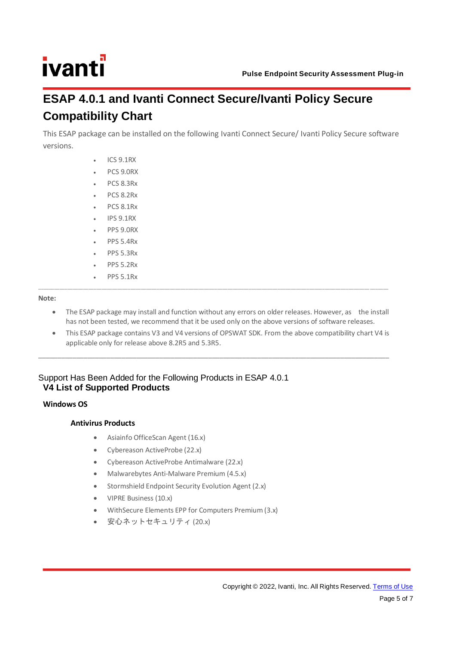### <span id="page-4-1"></span><span id="page-4-0"></span>**ESAP 4.0.1 and Ivanti Connect Secure/Ivanti Policy Secure Compatibility Chart**

This ESAP package can be installed on the following Ivanti Connect Secure/ Ivanti Policy Secure software versions.

- ICS 9.1RX
- PCS 9.0RX
- PCS 8.3Rx
- PCS 8.2Rx
- PCS 8.1Rx
- IPS 9.1RX
- PPS 9.0RX
- PPS 5.4Rx
- PPS 5.3Rx
- PPS 5.2Rx
- PPS 5.1Rx

#### **Note:**

The ESAP package may install and function without any errors on older releases. However, as the install has not been tested, we recommend that it be used only on the above versions of software releases.

\_\_\_\_\_\_\_\_\_\_\_\_\_\_\_\_\_\_\_\_\_\_\_\_\_\_\_\_\_\_\_\_\_\_\_\_\_\_\_\_\_\_\_\_\_\_\_\_\_\_\_\_\_\_\_\_\_\_\_\_\_\_\_\_\_\_\_\_\_\_\_\_\_\_\_\_\_\_\_\_\_\_\_\_\_\_\_\_\_\_\_\_\_\_\_\_\_\_\_\_\_\_\_\_\_\_\_\_\_\_\_\_\_\_\_\_\_\_\_\_\_\_\_\_\_\_ \_\_\_\_\_\_\_

• This ESAP package contains V3 and V4 versions of OPSWAT SDK. From the above compatibility chart V4 is applicable only for release above 8.2R5 and 5.3R5.

\_\_\_\_\_\_\_\_\_\_\_\_\_\_\_\_\_\_\_\_\_\_\_\_\_\_\_\_\_\_\_\_\_\_\_\_\_\_\_\_\_\_\_\_\_\_\_\_\_\_\_\_\_\_\_\_\_\_\_\_\_\_\_\_\_\_\_\_\_\_\_\_\_\_\_\_\_\_\_\_\_\_\_\_\_\_\_\_\_\_\_\_\_

#### <span id="page-4-2"></span>Support Has Been Added for the Following Products in ESAP 4.0.1 **V4 List of Supported Products**

#### **Windows OS**

#### **Antivirus Products**

- Asiainfo OfficeScan Agent (16.x)
- Cybereason ActiveProbe (22.x)
- Cybereason ActiveProbe Antimalware (22.x)
- Malwarebytes Anti-Malware Premium (4.5.x)
- Stormshield Endpoint Security Evolution Agent (2.x)
- VIPRE Business (10.x)
- WithSecure Elements EPP for Computers Premium (3.x)
- 安心ネットセキュリティ (20.x)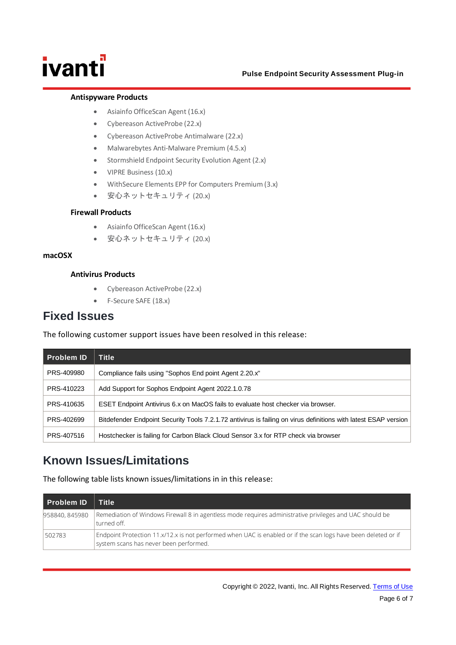#### **Pulse Endpoint Security Assessment Plug-in**

#### **Antispyware Products**

- Asiainfo OfficeScan Agent (16.x)
- Cybereason ActiveProbe (22.x)
- Cybereason ActiveProbe Antimalware (22.x)
- Malwarebytes Anti-Malware Premium (4.5.x)
- Stormshield Endpoint Security Evolution Agent (2.x)
- VIPRE Business (10.x)
- WithSecure Elements EPP for Computers Premium (3.x)
- 安心ネットセキュリティ (20.x)

#### **Firewall Products**

- Asiainfo OfficeScan Agent (16.x)
- 安心ネットセキュリティ (20.x)

#### **macOSX**

#### **Antivirus Products**

- Cybereason ActiveProbe (22.x)
- F-Secure SAFE (18.x)

### <span id="page-5-0"></span>**Fixed Issues**

The following customer support issues have been resolved in this release:

| <b>Problem ID</b> | Title                                                                                                           |
|-------------------|-----------------------------------------------------------------------------------------------------------------|
| PRS-409980        | Compliance fails using "Sophos End point Agent 2.20.x"                                                          |
| PRS-410223        | Add Support for Sophos Endpoint Agent 2022.1.0.78                                                               |
| PRS-410635        | ESET Endpoint Antivirus 6.x on MacOS fails to evaluate host checker via browser.                                |
| PRS-402699        | Bitdefender Endpoint Security Tools 7.2.1.72 antivirus is failing on virus definitions with latest ESAP version |
| PRS-407516        | Hostchecker is failing for Carbon Black Cloud Sensor 3.x for RTP check via browser                              |

### <span id="page-5-1"></span>**Known Issues/Limitations**

The following table lists known issues/limitations in in this release:

| <b>Problem ID</b> | Title <sup>1</sup>                                                                                                                                       |
|-------------------|----------------------------------------------------------------------------------------------------------------------------------------------------------|
| 958840, 845980    | Remediation of Windows Firewall 8 in agentless mode requires administrative privileges and UAC should be<br>turned off.                                  |
| 502783            | Endpoint Protection 11.x/12.x is not performed when UAC is enabled or if the scan logs have been deleted or if<br>system scans has never been performed. |